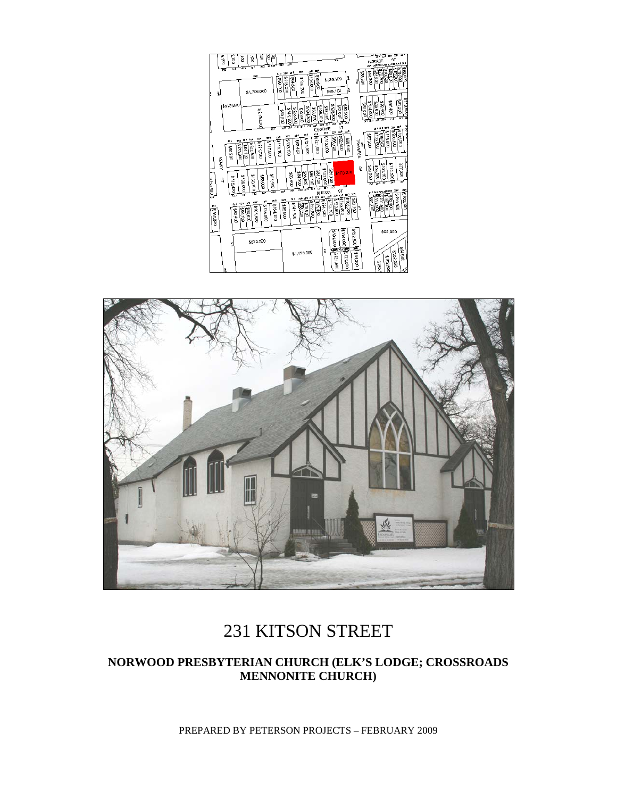



# 231 KITSON STREET

# **NORWOOD PRESBYTERIAN CHURCH (ELK'S LODGE; CROSSROADS MENNONITE CHURCH)**

PREPARED BY PETERSON PROJECTS – FEBRUARY 2009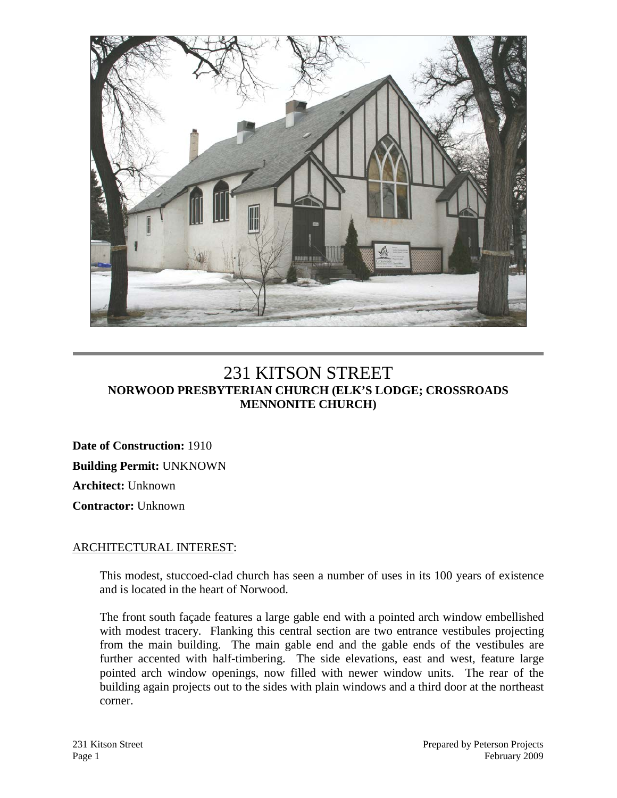

# 231 KITSON STREET **NORWOOD PRESBYTERIAN CHURCH (ELK'S LODGE; CROSSROADS MENNONITE CHURCH)**

**Date of Construction:** 1910 **Building Permit:** UNKNOWN **Architect:** Unknown

**Contractor:** Unknown

#### ARCHITECTURAL INTEREST:

This modest, stuccoed-clad church has seen a number of uses in its 100 years of existence and is located in the heart of Norwood.

The front south façade features a large gable end with a pointed arch window embellished with modest tracery. Flanking this central section are two entrance vestibules projecting from the main building. The main gable end and the gable ends of the vestibules are further accented with half-timbering. The side elevations, east and west, feature large pointed arch window openings, now filled with newer window units. The rear of the building again projects out to the sides with plain windows and a third door at the northeast corner.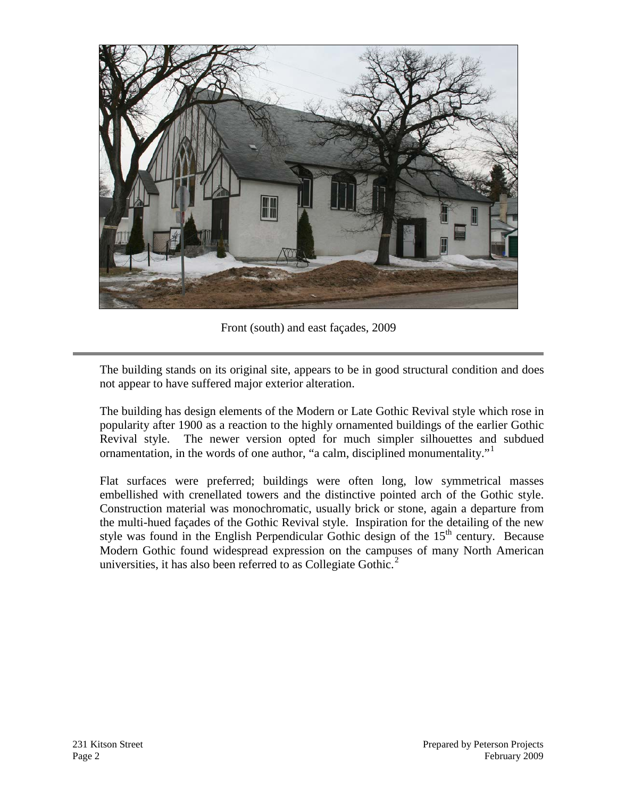

Front (south) and east façades, 2009

The building stands on its original site, appears to be in good structural condition and does not appear to have suffered major exterior alteration.

The building has design elements of the Modern or Late Gothic Revival style which rose in popularity after 1900 as a reaction to the highly ornamented buildings of the earlier Gothic Revival style. The newer version opted for much simpler silhouettes and subdued ornamentation, in the words of one author, "a calm, disciplined monumentality."<sup>[1](#page-5-0)</sup>

Flat surfaces were preferred; buildings were often long, low symmetrical masses embellished with crenellated towers and the distinctive pointed arch of the Gothic style. Construction material was monochromatic, usually brick or stone, again a departure from the multi-hued façades of the Gothic Revival style. Inspiration for the detailing of the new style was found in the English Perpendicular Gothic design of the  $15<sup>th</sup>$  century. Because Modern Gothic found widespread expression on the campuses of many North American universities, it has also been referred to as Collegiate Gothic. $<sup>2</sup>$  $<sup>2</sup>$  $<sup>2</sup>$ </sup>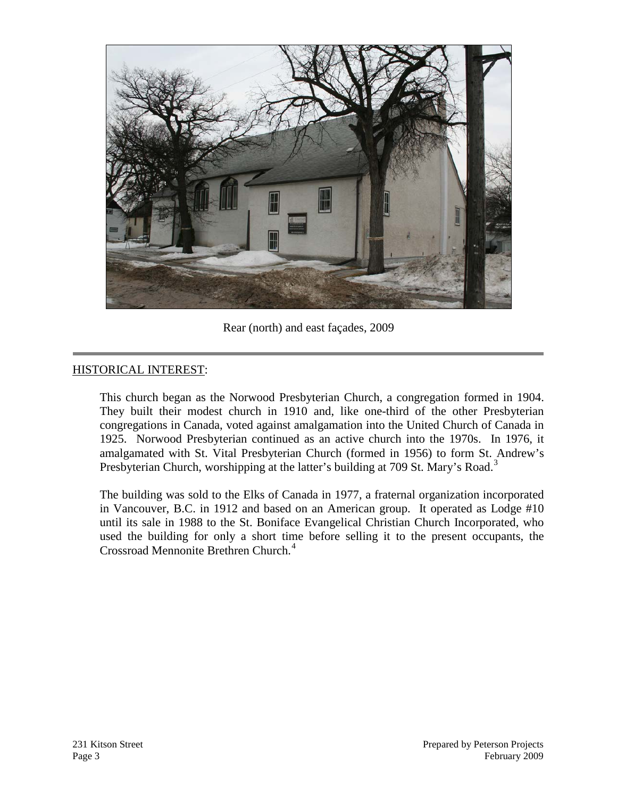

Rear (north) and east façades, 2009

## HISTORICAL INTEREST:

This church began as the Norwood Presbyterian Church, a congregation formed in 1904. They built their modest church in 1910 and, like one-third of the other Presbyterian congregations in Canada, voted against amalgamation into the United Church of Canada in 1925. Norwood Presbyterian continued as an active church into the 1970s. In 1976, it amalgamated with St. Vital Presbyterian Church (formed in 1956) to form St. Andrew's Presbyterian Church, worshipping at the latter's building at 709 St. Mary's Road.<sup>[3](#page-5-2)</sup>

The building was sold to the Elks of Canada in 1977, a fraternal organization incorporated in Vancouver, B.C. in 1912 and based on an American group. It operated as Lodge #10 until its sale in 1988 to the St. Boniface Evangelical Christian Church Incorporated, who used the building for only a short time before selling it to the present occupants, the Crossroad Mennonite Brethren Church.<sup>[4](#page-5-3)</sup>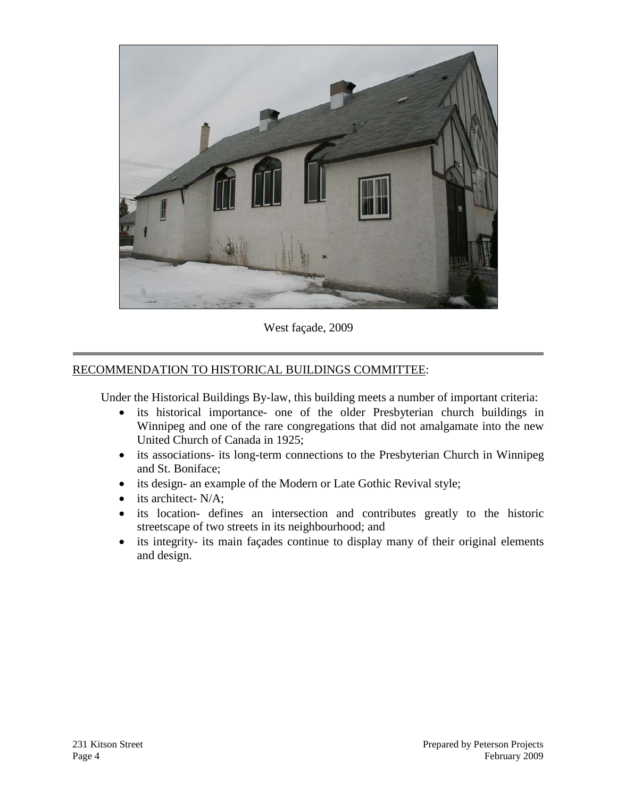

West façade, 2009

# RECOMMENDATION TO HISTORICAL BUILDINGS COMMITTEE:

Under the Historical Buildings By-law, this building meets a number of important criteria:

- its historical importance- one of the older Presbyterian church buildings in Winnipeg and one of the rare congregations that did not amalgamate into the new United Church of Canada in 1925;
- its associations- its long-term connections to the Presbyterian Church in Winnipeg and St. Boniface;
- its design- an example of the Modern or Late Gothic Revival style;
- its architect- N/A;
- its location- defines an intersection and contributes greatly to the historic streetscape of two streets in its neighbourhood; and
- its integrity- its main façades continue to display many of their original elements and design.